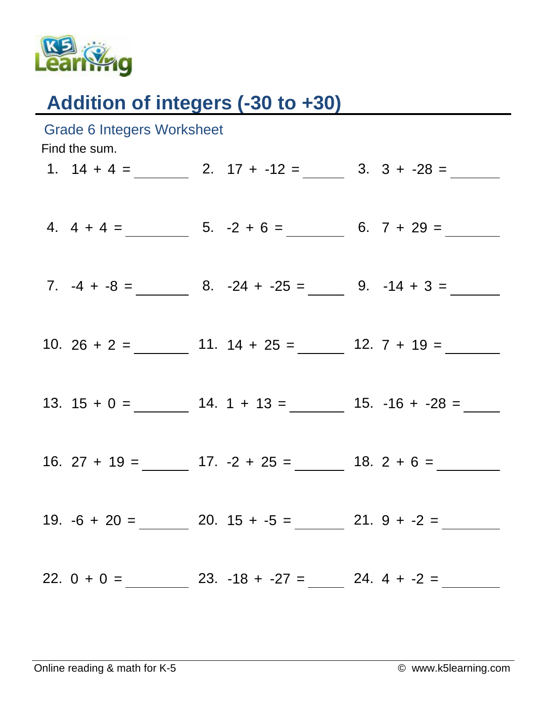

## Addition of integers (-30 to +30)

| <b>Grade 6 Integers Worksheet</b><br>Find the sum. |  |  |                                                                  |  |  |  |  |  |
|----------------------------------------------------|--|--|------------------------------------------------------------------|--|--|--|--|--|
|                                                    |  |  | 1. $14 + 4 =$ 2. $17 + -12 =$ 3. $3 + -28 =$                     |  |  |  |  |  |
|                                                    |  |  | 4. $4 + 4 =$ 5. $-2 + 6 =$ 6. $7 + 29 =$                         |  |  |  |  |  |
|                                                    |  |  |                                                                  |  |  |  |  |  |
|                                                    |  |  |                                                                  |  |  |  |  |  |
|                                                    |  |  |                                                                  |  |  |  |  |  |
|                                                    |  |  | 16. 27 + 19 = ________ 17. -2 + 25 = _______ 18. 2 + 6 = _______ |  |  |  |  |  |
|                                                    |  |  | 19. $-6 + 20 =$ 20. $15 + -5 =$ 21. $9 + -2 =$                   |  |  |  |  |  |
|                                                    |  |  | 22. $0 + 0 =$ 23. -18 + -27 = 24. 4 + -2 =                       |  |  |  |  |  |